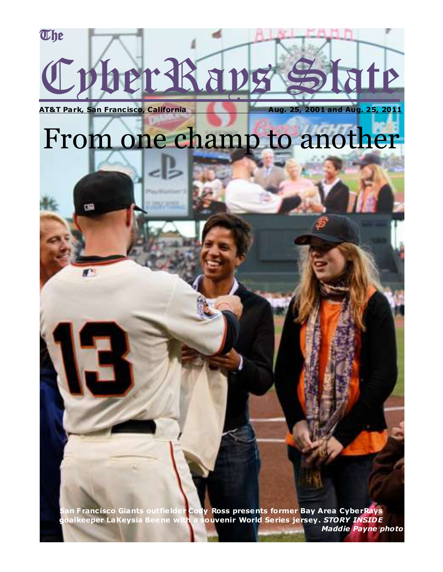# **The** Cyber Rays Slate

**AT&T Park, San Francisco, California Aug. 25, 2001 and Aug. 25, 2011** 

### From one champ to another

**San Franc isco Giants outfie lder Cody Ross presents former Bay Area CyberRays goalkeeper LaKeysia Beene with a souvenir World Series jersey.** *STORY INSIDE*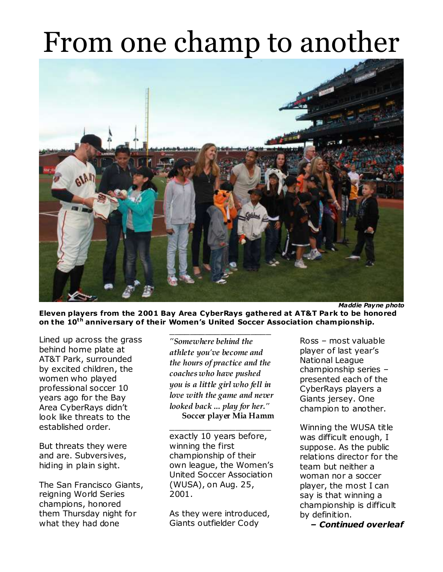

**Eleven players from the 2001 Bay Area CyberRays gathered at AT&T Park to be honored on the 10th anniversary of the ir Women's United Soccer Association championship.**

\_\_\_\_\_\_\_\_\_\_\_\_\_\_\_\_\_\_\_\_

Lined up across the grass behind home plate at AT&T Park, surrounded by excited children, the women who played professional soccer 10 years ago for the Bay Area CyberRays didn't look like threats to the established order.

But threats they were and are. Subversives, hiding in plain sight.

The San Francisco Giants, reigning World Series champions, honored them Thursday night for what they had done

*"Somewhere behind the athlete you've become and the hours of practice and the coaches who have pushed you is a little girl who fell in love with the game and never looked back ... play for her."*  **Soccer player Mia Hamm**

exactly 10 years before, winning the first championship of their own league, the Women's United Soccer Association (WUSA), on Aug. 25, 2001.

 $\overline{\phantom{a}}$  , and the set of the set of the set of the set of the set of the set of the set of the set of the set of the set of the set of the set of the set of the set of the set of the set of the set of the set of the s

As they were introduced, Giants outfielder Cody

Ross – most valuable player of last year's National League championship series – presented each of the CyberRays players a Giants jersey. One champion to another.

Winning the WUSA title was difficult enough, I suppose. As the public relations director for the team but neither a woman nor a soccer player, the most I can say is that winning a championship is difficult by definition.

*– Continued overleaf*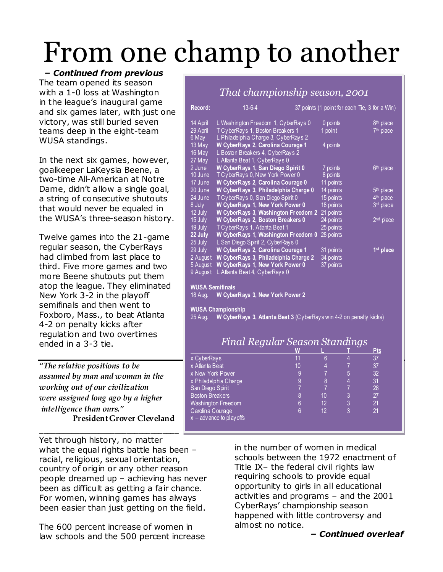*– Continued from previous* The team opened its season with a 1-0 loss at Washington in the league's inaugural game and six games later, with just one victory, was still buried seven teams deep in the eight-team WUSA standings.

In the next six games, however, goalkeeper LaKeysia Beene, a two-time All-American at Notre Dame, didn't allow a single goal, a string of consecutive shutouts that would never be equaled in the WUSA's three-season history.

Twelve games into the 21-game regular season, the CyberRays had climbed from last place to third. Five more games and two more Beene shutouts put them atop the league. They eliminated New York 3-2 in the playoff semifinals and then went to Foxboro, Mass., to beat Atlanta 4-2 on penalty kicks after regulation and two overtimes ended in a 3-3 tie.

*"The relative positions to be assumed by man and woman in the working out of our civilization were assigned long ago by a higher intelligence than ours."* **President Grover Cleveland**

\_\_\_\_\_\_\_\_\_\_\_\_\_\_\_\_\_\_\_\_\_\_\_\_\_\_\_\_\_\_\_\_\_\_\_ Yet through history, no matter what the equal rights battle has been – racial, religious, sexual orientation, country of origin or any other reason people dreamed up – achieving has never been as difficult as getting a fair chance. For women, winning games has always been easier than just getting on the field.

The 600 percent increase of women in law schools and the 500 percent increase

|                                                                               | That championship season, 2001                                           |    |                        |                |                                               |
|-------------------------------------------------------------------------------|--------------------------------------------------------------------------|----|------------------------|----------------|-----------------------------------------------|
| Record:                                                                       | $13 - 6 - 4$                                                             |    |                        |                | 37 points (1 point for each Tie, 3 for a Win) |
| 14 April                                                                      | L Washington Freedom 1, CyberRays 0                                      |    | 0 points               |                | 8th place                                     |
| 29 April<br>6 May                                                             | T CyberRays 1, Boston Breakers 1<br>L Philadelphia Charge 3, CyberRays 2 |    | 1 point                |                | 7th place                                     |
| 13 May                                                                        | W CyberRays 2, Carolina Courage 1                                        |    | 4 points               |                |                                               |
| 16 May<br>27 May                                                              | L Boston Breakers 4, CyberRays 2<br>L Atlanta Beat 1, CyberRays 0        |    |                        |                |                                               |
| 2 June                                                                        | W CyberRays 1, San Diego Spirit 0                                        |    | 7 points               |                | 6 <sup>th</sup> place                         |
| 10 June                                                                       | TCyberRays 0, New York Power 0                                           |    | 8 points               |                |                                               |
| 17 June                                                                       | W CyberRays 2, Carolina Courage 0                                        |    | 11 points              |                |                                               |
| 20 June                                                                       | W CyberRays 3, Philadelphia Charge 0                                     |    | 14 points              |                | 5 <sup>th</sup> place                         |
| 24 June                                                                       | T CyberRays 0, San Diego Spirit 0                                        |    | $15$ points            |                | 4 <sup>th</sup> place                         |
| 8 July                                                                        | W CyberRays 1, New York Power 0                                          |    | 18 points              |                | 3rd place                                     |
| 12 July                                                                       | W CyberRays 3, Washington Freedom 2                                      |    | 21 points              |                |                                               |
| 15 July                                                                       | W CyberRays 2, Boston Breakers 0                                         |    | 24 points              |                | $2nd$ place                                   |
| 19 July<br>22 July                                                            | T CyberRays 1, Atlanta Beat 1<br>W CyberRays 1, Washington Freedom 0     |    | 25 points<br>28 points |                |                                               |
| 25 July                                                                       | L San Diego Spirit 2, CyberRays 0                                        |    |                        |                |                                               |
| 29 July                                                                       | W CyberRays 2, Carolina Courage 1                                        |    | 31 points              |                | 1 <sup>st</sup> place                         |
| 2 August                                                                      | W CyberRays 3, Philadelphia Charge 2                                     |    | 34 points              |                |                                               |
| 5 August                                                                      | W CyberRays 1, New York Power 0                                          |    | 37 points              |                |                                               |
| 9 August                                                                      | L Atlanta Beat 4, CyberRays 0                                            |    |                        |                |                                               |
| <b>WUSA Semifinals</b>                                                        |                                                                          |    |                        |                |                                               |
| 18 Aug.                                                                       | W CyberRays 3, New York Power 2                                          |    |                        |                |                                               |
|                                                                               | <b>WUSA Championship</b>                                                 |    |                        |                |                                               |
| W CyberRays 3, Atlanta Beat 3 (CyberRays win 4-2 on penalty kicks)<br>25 Aug. |                                                                          |    |                        |                |                                               |
|                                                                               | Final Regular Season Standings                                           |    |                        |                |                                               |
|                                                                               | W                                                                        |    |                        |                | <b>Pts</b>                                    |
| x CyberRays                                                                   |                                                                          | 11 | $6\phantom{1}$         | 4              | 37                                            |
| x Atlanta Beat                                                                |                                                                          | 10 | $\overline{4}$         | $\overline{7}$ | 37                                            |
| x New York Power                                                              |                                                                          | 9  | $\overline{7}$         | 5              | 32                                            |

x Philadelphia Charge 9 8 4 31 San Diego Spirit 1988 - 1988 - 1988 - 1988 - 1988 - 1988 - 1988 - 1988 - 1988 - 1988 - 1988 - 1988 - 1988 - 1<br>1991 - 1992 - 1993 - 1994 - 1994 - 1995 - 1996 - 1997 - 1998 - 1998 - 1998 - 1998 - 1999 - 1999 - 1999 - 1999 Boston Breakers 8 10 3 27

Carolina Courage **6** 12 3 21

Washington Freedom 6 12 3

 $x -$ advance to playoffs

in the number of women in medical schools between the 1972 enactment of Title IX– the federal civil rights law requiring schools to provide equal opportunity to girls in all educational activities and programs – and the 2001 CyberRays' championship season happened with little controversy and almost no notice.

#### *– Continued overleaf*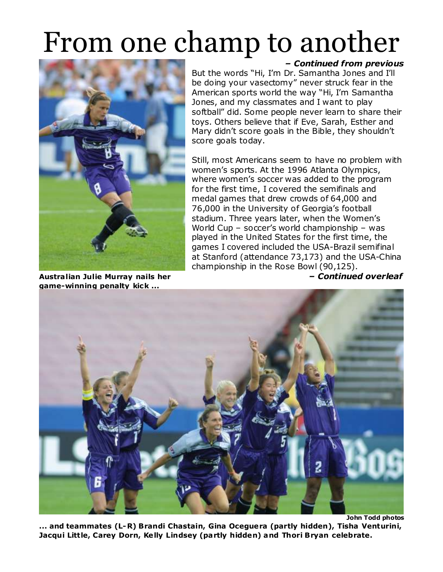

**Austra lian Julie Murray nails her** *– Continued overleaf* **game-winning penalty kick ...**

*– Continued from previous*

But the words "Hi, I'm Dr. Samantha Jones and I'll be doing your vasectomy" never struck fear in the American sports world the way "Hi, I'm Samantha Jones, and my classmates and I want to play softball" did. Some people never learn to share their toys. Others believe that if Eve, Sarah, Esther and Mary didn't score goals in the Bible, they shouldn't score goals today.

Still, most Americans seem to have no problem with women's sports. At the 1996 Atlanta Olympics, where women's soccer was added to the program for the first time, I covered the semifinals and medal games that drew crowds of 64,000 and 76,000 in the University of Georgia's football stadium. Three years later, when the Women's World Cup – soccer's world championship – was played in the United States for the first time, the games I covered included the USA-Brazil semifinal at Stanford (attendance 73,173) and the USA-China championship in the Rose Bowl (90,125).



**John Todd photos ... and teammates (L-R) Brandi Chastain, Gina Oceguera (partly hidden), Tisha Venturini, Jacqui Little, Carey Dorn, Ke lly Lindsey (partly hidden) and Thori Bryan celebrate.**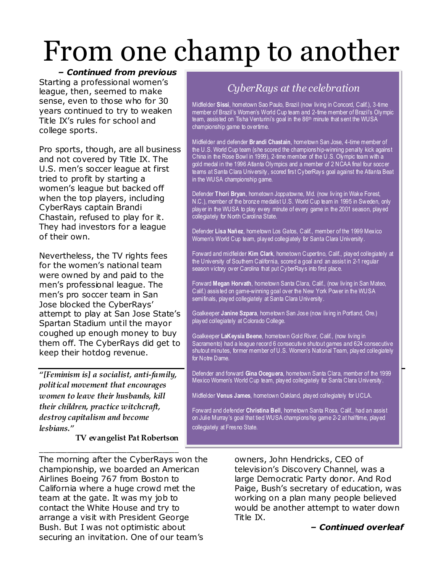#### *– Continued from previous*

Starting a professional women's league, then, seemed to make sense, even to those who for 30 years continued to try to weaken Title IX's rules for school and college sports.

Pro sports, though, are all business and not covered by Title IX. The U.S. men's soccer league at first tried to profit by starting a women's league but backed off when the top players, including CyberRays captain Brandi Chastain, refused to play for it. They had investors for a league of their own.

Nevertheless, the TV rights fees for the women's national team were owned by and paid to the men's professional league. The men's pro soccer team in San Jose blocked the CyberRays' attempt to play at San Jose State's Spartan Stadium until the mayor coughed up enough money to buy them off. The CyberRays did get to keep their hotdog revenue.

*"[Feminism is] a socialist, anti-family, political movement that encourages women to leave their husbands, kill their children, practice witchcraft, destroy capitalism and become lesbians."*

**\_\_\_\_\_\_\_\_\_\_\_\_\_\_\_\_\_\_\_\_\_\_\_\_\_\_\_\_\_\_\_\_\_\_\_**

**TV evangelist Pat Robertson**

The morning after the CyberRays won the championship, we boarded an American Airlines Boeing 767 from Boston to California where a huge crowd met the team at the gate. It was my job to contact the White House and try to arrange a visit with President George Bush. But I was not optimistic about securing an invitation. One of our team's

#### *CyberRays at the celebration*

Midfielder **Sissi**, hometown Sao Paulo, Brazil (now living in Concord, Calif.), 3-time member of Brazil's Women's World Cup team and 2-time member of Brazil's Olympic team, assisted on Tisha Venturini's goal in the 86<sup>th</sup> minute that sent the WUSA championship game to overtime.

Midfielder and defender **Brandi Chastain**, hometown San Jose, 4-time member of the U.S. World Cup team (she scored the championship-winning penalty kick against China in the Rose Bowl in 1999), 2-time member of the U.S. Olympic team with a gold medal in the 1996 Atlanta Olympics and a member of 2 NCAA final four soccer teams at Santa Clara University, scored first CyberRays goal against the Atlanta Beat in the WUSA championship game.

Defender **Thori Bryan**, hometown Joppatowne, Md. (now liv ing in Wake Forest, N.C.), member of the bronze medalist U.S. World Cup team in 1995 in Sweden, only player in the WUSA to play every minute of every game in the 2001 season, played collegiately for North Carolina State.

Defender **Lisa Nañez**, hometown Los Gatos, Calif., member of the 1999 Mexico Women's World Cup team, played collegiately for Santa Clara University.

Forward and midfielder **Kim Clark**, hometown Cupertino, Calif., played collegiately at the University of Southern California, scored a goal and an assist in 2-1 regular season victory over Carolina that put CyberRays into first place.

Forward **Megan Horvath**, hometown Santa Clara, Calif., (now living in San Mateo, Calif.) assisted on game-winning goal over the New York Power in the WUSA semifinals, played collegiately at Santa Clara University.

Goalkeeper **Janine Szpara**, hometown San Jose (now living in Portland, Ore.) played collegiately at Colorado College.

Goalkeeper **LaKeysia Beene**, hometown Gold River, Calif., (now living in Sacramento) had a league record 6 consecutive shutout games and 624 consecutive shutout minutes, former member of U.S. Women's National Team, played collegiately for Notre Dame.

Defender and forward **Gina Oceguera**, hometown Santa Clara, member of the 1999 Mexico Women's World Cup team, played collegiately for Santa Clara University.

Midfielder **Venus James**, hometown Oakland, played collegiately for UCLA.

Forward and defender **Christina Bell**, hometown Santa Rosa, Calif., had an assist on Julie Murray's goal that tied WUSA championship game 2-2 at halftime, played collegiately at Fresno State.

> owners, John Hendricks, CEO of television's Discovery Channel, was a large Democratic Party donor. And Rod Paige, Bush's secretary of education, was working on a plan many people believed would be another attempt to water down Title IX.

> > *– Continued overleaf*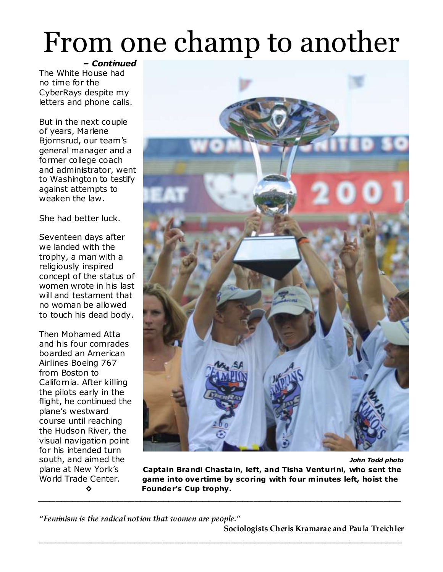*– Continued* The White House had no time for the CyberRays despite my letters and phone calls.

But in the next couple of years, Marlene Bjornsrud, our team's general manager and a former college coach and administrator, went to Washington to testify against attempts to weaken the law.

She had better luck.

Seventeen days after we landed with the trophy, a man with a religiously inspired concept of the status of women wrote in his last will and testament that no woman be allowed to touch his dead body.

Then Mohamed Atta and his four comrades boarded an American Airlines Boeing 767 from Boston to California. After killing the pilots early in the flight, he continued the plane's westward course until reaching the Hudson River, the visual navigation point for his intended turn



south, and aimed the *John Todd photo* plane at New York's **Captain Brandi Chasta in, left, and Tisha Venturini, who sent the**  World Trade Center. **game into overtime by scoring with four m inutes left, hoist the ◊ Founder's Cup trophy.** *\_\_\_\_\_\_\_\_\_\_\_\_\_\_\_\_\_\_\_\_\_\_\_\_\_\_\_\_\_\_\_\_\_\_\_\_\_\_\_\_\_\_\_\_\_\_\_\_\_\_\_\_\_\_\_\_\_\_\_\_\_\_\_\_*

**\_\_\_\_\_\_\_\_\_\_\_\_\_\_\_\_\_\_\_\_\_\_\_\_\_\_\_\_\_\_\_\_\_\_\_\_\_\_\_\_\_\_\_\_\_\_\_\_\_\_\_\_\_\_\_\_\_\_\_\_\_\_\_\_\_\_\_\_\_\_\_\_\_\_\_\_\_\_\_\_\_\_\_\_\_\_\_\_\_\_\_**

*"Feminism is the radical notion that women are people."*

**Sociologists Cheris Kramarae and Paula Treichler**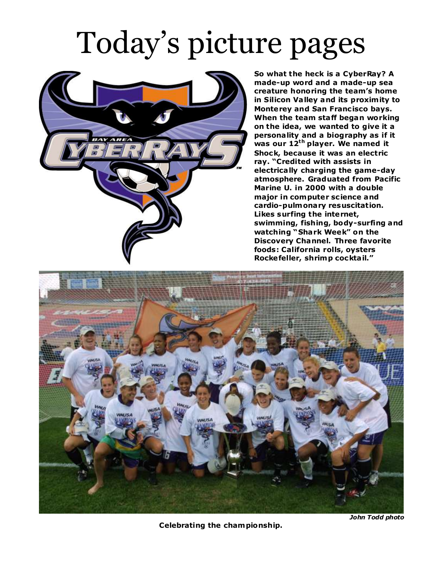### Today's picture pages



**So what the heck is a CyberRay? A made-up word and a made-up sea creature honoring the team's home in Silicon Va lley and its proxim ity to Monterey and San Francisco bavs. When the team staff began working on the idea, we wanted to give it a persona lity and a biography as if it was our 12th player. We named it Shock, because it was an electric ray. "Credited with assists in electrica lly charging the game-day atmosphere. Graduated from Pacific Marine U. in 2000 with a double major in computer sc ience and cardio-pulmonary resuscitation. Likes surfing the internet, swimming, fishing, body-surfing and watching "Shark Week" on the Discovery Channel. Three favorite foods: California rolls, oysters Rockefeller, shrimp cockta il."**



**Celebrating the championship.**

*John Todd photo*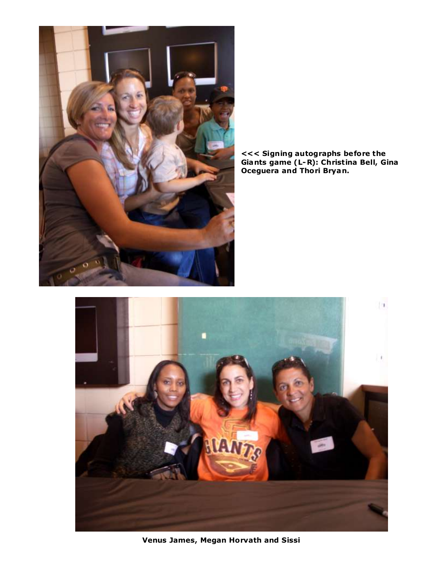

**<<< Signing autographs before the Giants game (L-R): Christina Bell, Gina Oceguera and Thori Bryan.**



**Venus James, Megan Horvath and Sissi**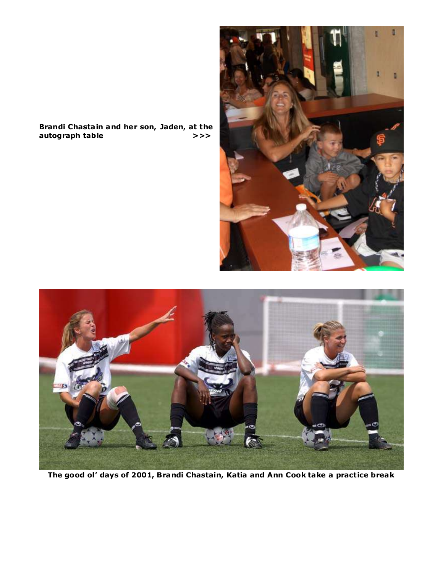#### **Brandi Chasta in and her son, Jaden, at the autograph table >>>**





**The good ol' days of 2001, Brandi Chastain, Katia and Ann Cook take a practice break**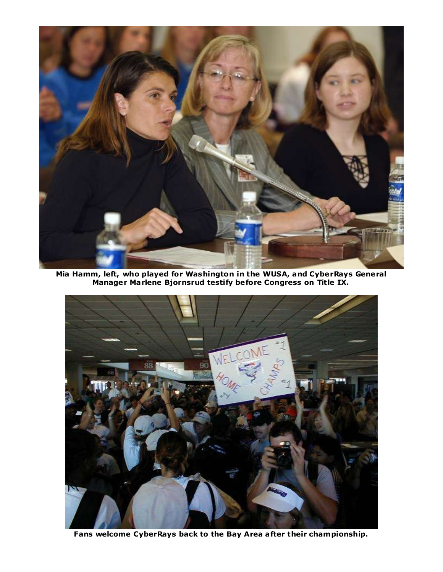

**Mia Hamm, left, who played for Washington in the WUSA, and CyberRays General Manager Marlene Bjornsrud testify before Congress on Title IX.**



**Fans welcome CyberRays back to the Bay Area after their championship.**